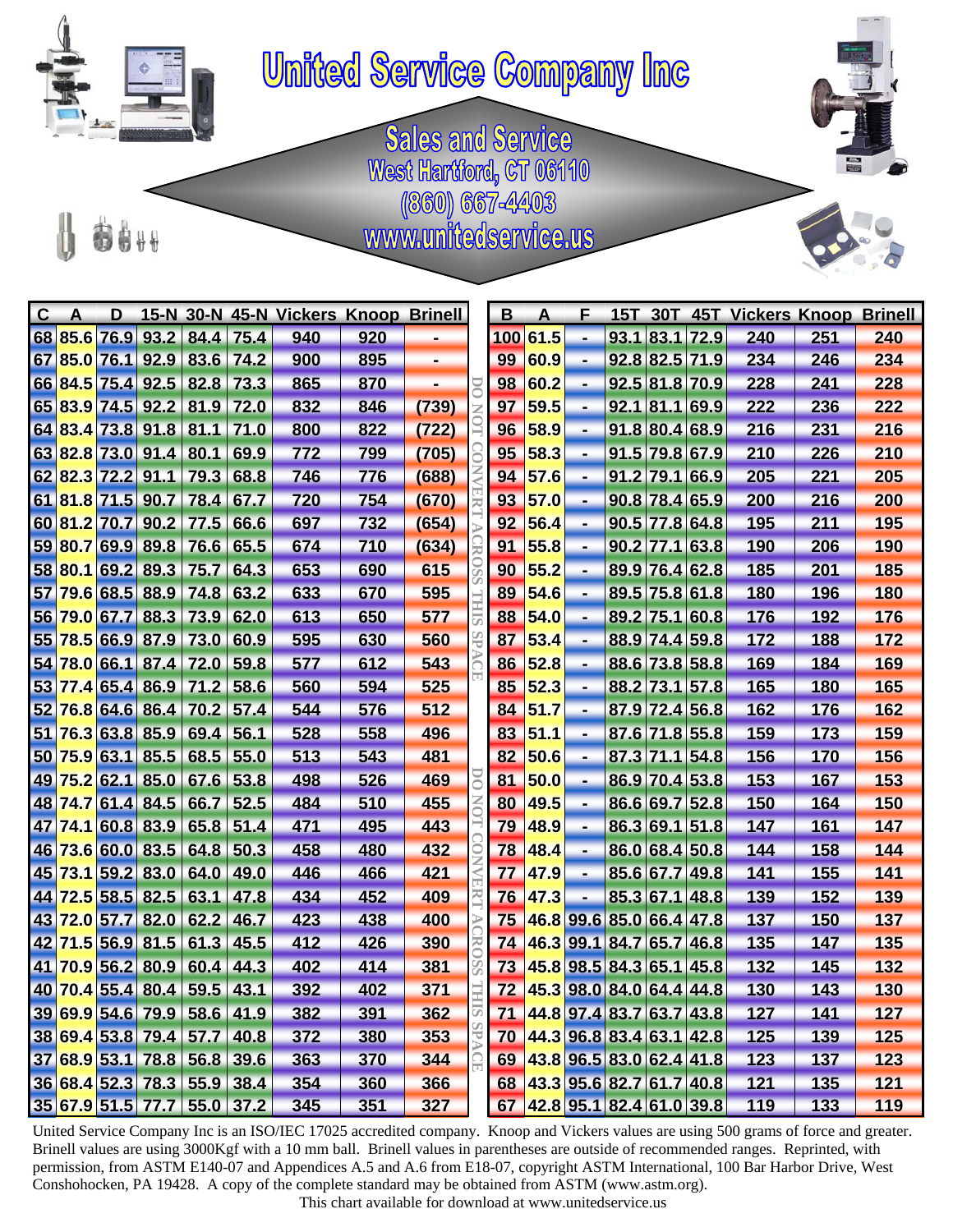

## **United Service Company Inc**

**Sales and Service** West Hartford, CT 06110 (860) 667-4403<br>www.unitedservice.us



| $\mathbf{C}$ | A       | D                 |                        |                             |      | 15-N 30-N 45-N Vickers Knoop Brinell                                                              |                                                           |       |            | B   | A                        | Е              |      |      |                             | 15T 30T 45T Vickers Knoop                                                                                                                                                                                                                                                                                                                                                                                       |     | <b>Brinell</b> |
|--------------|---------|-------------------|------------------------|-----------------------------|------|---------------------------------------------------------------------------------------------------|-----------------------------------------------------------|-------|------------|-----|--------------------------|----------------|------|------|-----------------------------|-----------------------------------------------------------------------------------------------------------------------------------------------------------------------------------------------------------------------------------------------------------------------------------------------------------------------------------------------------------------------------------------------------------------|-----|----------------|
|              | 68 85.6 | 76.9              | 93.2                   | 84.4                        | 75.4 | 940                                                                                               | 920                                                       |       |            | 100 | 61.5                     |                | 93.1 | 83.1 | 72.9                        | 240                                                                                                                                                                                                                                                                                                                                                                                                             | 251 | 240            |
|              |         |                   |                        | 67 85.0 76.1 92.9 83.6 74.2 |      | 900                                                                                               | 895                                                       | Ξ.    |            | 99  | 60.9                     | ٠              |      |      | 92.8 82.5 71.9              | 234                                                                                                                                                                                                                                                                                                                                                                                                             | 246 | 234            |
|              |         | 66 84.5 75.4 92.5 |                        | 82.8                        | 73.3 | 865                                                                                               | 870                                                       |       |            | 98  | 60.2                     | ٠              |      |      | 92.5 81.8 70.9              | 228                                                                                                                                                                                                                                                                                                                                                                                                             | 241 | 228            |
|              |         |                   | 65 83.9 74.5 92.2      | 81.9 72.0                   |      | 832                                                                                               | 846                                                       | (739) |            | 97  | 59.5                     | ٠              |      |      | 92.1 81.1 69.9              | 222                                                                                                                                                                                                                                                                                                                                                                                                             | 236 | 222            |
|              |         | 64 83.4 73.8 91.8 |                        | 81.1                        | 71.0 | 800                                                                                               | 822                                                       | (722) |            | 96  | 58.9                     | ٠              | 91.8 |      | 80.4 68.9                   | 216                                                                                                                                                                                                                                                                                                                                                                                                             | 231 | 216            |
|              |         |                   | 63 82.8 73.0 91.4      | 80.1                        | 69.9 | 772                                                                                               | 799                                                       | (705) |            | 95  | 58.3                     | ٠              |      |      | 91.5 79.8 67.9              | 210                                                                                                                                                                                                                                                                                                                                                                                                             | 226 | 210            |
|              |         | 62 82.3 72.2 91.1 |                        | 79.3                        | 68.8 | 746                                                                                               | 776                                                       | (688) |            | 94  | 57.6                     | $\blacksquare$ | 91.2 |      | 79.1 66.9                   | 205                                                                                                                                                                                                                                                                                                                                                                                                             | 221 | 205            |
|              |         |                   | 61 81.8 71.5 90.7 78.4 |                             | 67.7 | 720                                                                                               | 754                                                       | (670) |            | 93  | 57.0                     | ٠              |      |      | $90.8$ 78.4 65.9            | 200                                                                                                                                                                                                                                                                                                                                                                                                             | 216 | 200            |
|              |         | 60 81.2 70.7      | 90.2                   | 77.5                        | 66.6 | 697                                                                                               | 732                                                       | (654) |            | 92  | 56.4                     | ٠              | 90.5 |      | 77.8 64.8                   | 195                                                                                                                                                                                                                                                                                                                                                                                                             | 211 | 195            |
|              |         |                   | 59 80.7 69.9 89.8      | 76.6                        | 65.5 | 674                                                                                               | 710                                                       | (634) |            | 91  | 55.8                     | ٠              |      |      | $90.2$ 77.1 63.8            | 190                                                                                                                                                                                                                                                                                                                                                                                                             | 206 | 190            |
|              |         | 58 80.1 69.2      | 89.3                   | 75.7                        | 64.3 | 653                                                                                               | 690                                                       | 615   |            | 90  | 55.2                     | ٠              |      |      | 89.9 76.4 62.8              | 185                                                                                                                                                                                                                                                                                                                                                                                                             | 201 | 185            |
| 57           |         | 79.6 68.5 88.9    |                        | 74.8                        | 63.2 | 633                                                                                               | 670                                                       | 595   |            | 89  | 54.6                     | ٠              |      |      | 89.5 75.8 61.8              | 180                                                                                                                                                                                                                                                                                                                                                                                                             | 196 | 180            |
| 56           |         | 79.0 67.7         | 88.3                   | 73.9                        | 62.0 | 613                                                                                               | 650                                                       | 577   |            | 88  | 54.0                     | ٠              |      |      | 89.2 75.1 60.8              | 176                                                                                                                                                                                                                                                                                                                                                                                                             | 192 | 176            |
|              |         |                   |                        | 55 78.5 66.9 87.9 73.0      | 60.9 | 595                                                                                               | 630                                                       | 560   |            | 87  | 53.4                     | ٠              |      |      | 88.9 74.4 59.8              | 172                                                                                                                                                                                                                                                                                                                                                                                                             | 188 | 172            |
| 54           |         | 78.0 66.1 87.4    |                        | 72.0                        | 59.8 | 577                                                                                               | 612                                                       | 543   |            | 86  | 52.8                     | ٠              |      |      | 88.6 73.8 58.8              | 169                                                                                                                                                                                                                                                                                                                                                                                                             | 184 | 169            |
| 53           |         | 77.4 65.4 86.9    |                        | 71.2                        | 58.6 | 560                                                                                               | 594                                                       | 525   |            | 85  | 52.3                     | ٠              |      |      | 88.2 73.1 57.8              | 165                                                                                                                                                                                                                                                                                                                                                                                                             | 180 | 165            |
| 52           |         | 76.8 64.6 86.4    |                        | 70.2                        | 57.4 | 544                                                                                               | 576                                                       | 512   |            | 84  | 51.7                     | $\blacksquare$ | 87.9 |      | 72.4 56.8                   | 162                                                                                                                                                                                                                                                                                                                                                                                                             | 176 | 162            |
| 51           |         | 76.3 63.8 85.9    |                        | 69.4                        | 56.1 | 528                                                                                               | 558                                                       | 496   |            | 83  | 51.1                     | $\blacksquare$ |      |      | 87.6 71.8 55.8              | 159                                                                                                                                                                                                                                                                                                                                                                                                             | 173 | 159            |
| 50           |         | 75.9 63.1 85.5    |                        | 68.5                        | 55.0 | 513                                                                                               | 543                                                       | 481   |            | 82  | 50.6                     | ٠              | 87.3 |      | 71.1 54.8                   | 156                                                                                                                                                                                                                                                                                                                                                                                                             | 170 | 156            |
| 49           |         | $75.2$ 62.1 85.0  |                        | 67.6                        | 53.8 | 498                                                                                               | 526                                                       | 469   | Σ          | 81  | 50.0                     | ٠              |      |      | 86.9 70.4 53.8              | 153                                                                                                                                                                                                                                                                                                                                                                                                             | 167 | 153            |
| 48           |         | 74.7 61.4 84.5    |                        | 66.7                        | 52.5 | 484                                                                                               | 510                                                       | 455   |            | 80  | 49.5                     | $\blacksquare$ |      |      | 86.6 69.7 52.8              | 150                                                                                                                                                                                                                                                                                                                                                                                                             | 164 | 150            |
| 47           |         | 74.1 60.8 83.9    |                        | $65.8$ 51.4                 |      | 471                                                                                               | 495                                                       | 443   |            | 79  | 48.9                     | ٠              |      |      | 86.3 69.1 51.8              | 147                                                                                                                                                                                                                                                                                                                                                                                                             | 161 | 147            |
|              |         | 46 73.6 60.0 83.5 |                        | 64.8                        | 50.3 | 458                                                                                               | 480                                                       | 432   |            | 78  | 48.4                     | ٠              |      |      | 86.0 68.4 50.8              | 144                                                                                                                                                                                                                                                                                                                                                                                                             | 158 | 144            |
| 45           |         | 73.1 59.2 83.0    |                        | 64.0                        | 49.0 | 446                                                                                               | 466                                                       | 421   |            | 77  | 47.9                     | $\blacksquare$ |      |      | 85.6 67.7 49.8              | 141                                                                                                                                                                                                                                                                                                                                                                                                             | 155 | 141            |
| 44           |         | 72.5 58.5         | 82.5                   | 63.1                        | 47.8 | 434                                                                                               | 452                                                       | 409   |            | 76  | 47.3                     | $\blacksquare$ | 85.3 |      | 67.1 48.8                   | 139                                                                                                                                                                                                                                                                                                                                                                                                             | 152 | 139            |
|              |         | 43 72.0 57.7 82.0 |                        | 62.2                        | 46.7 | 423                                                                                               | 438                                                       | 400   | ⋗          | 75  |                          |                |      |      | 46.8 99.6 85.0 66.4 47.8    | 137                                                                                                                                                                                                                                                                                                                                                                                                             | 150 | 137            |
|              |         | 42 71.5 56.9      | 81.5                   | 61.3                        | 45.5 | 412                                                                                               | 426                                                       | 390   | 医合         | 74  | 46.3 99.1                |                |      |      | 84.7 65.7 46.8              | 135                                                                                                                                                                                                                                                                                                                                                                                                             | 147 | 135            |
| 41           |         | 70.9 56.2         | 80.9                   | 60.4                        | 44.3 | 402                                                                                               | 414                                                       | 381   |            | 73  | 45.8 98.5 84.3 65.1 45.8 |                |      |      |                             | 132                                                                                                                                                                                                                                                                                                                                                                                                             | 145 | 132            |
|              |         |                   |                        | 40 70.4 55.4 80.4 59.5 43.1 |      | 392                                                                                               | 402                                                       | 371   | $\mapsto$  |     |                          |                |      |      | 72 45.3 98.0 84.0 64.4 44.8 | 130                                                                                                                                                                                                                                                                                                                                                                                                             | 143 | 130            |
|              |         |                   |                        | 39 69.9 54.6 79.9 58.6 41.9 |      | 382                                                                                               | 391                                                       | 362   | <b>SIE</b> |     |                          |                |      |      | 71 44.8 97.4 83.7 63.7 43.8 | 127                                                                                                                                                                                                                                                                                                                                                                                                             | 141 | 127            |
|              |         |                   |                        | 38 69.4 53.8 79.4 57.7      | 40.8 | 372                                                                                               | 380                                                       | 353   |            |     |                          |                |      |      | 70 44.3 96.8 83.4 63.1 42.8 | 125                                                                                                                                                                                                                                                                                                                                                                                                             | 139 | 125            |
|              |         |                   |                        | 37 68.9 53.1 78.8 56.8 39.6 |      | 363                                                                                               | 370                                                       | 344   |            | 69  |                          |                |      |      | 143.896.583.062.441.8       | 123                                                                                                                                                                                                                                                                                                                                                                                                             | 137 | 123            |
|              |         |                   |                        | 36 68.4 52.3 78.3 55.9 38.4 |      | 354                                                                                               | 360                                                       | 366   |            |     |                          |                |      |      | 68 43.3 95.6 82.7 61.7 40.8 | 121                                                                                                                                                                                                                                                                                                                                                                                                             | 135 | 121            |
|              |         |                   |                        | 35 67.9 51.5 77.7 55.0 37.2 |      | 345                                                                                               | 351                                                       | 327   |            |     |                          |                |      |      | 67 42.8 95.1 82.4 61.0 39.8 | 119                                                                                                                                                                                                                                                                                                                                                                                                             | 133 | 119            |
|              |         |                   |                        |                             |      | Conshohocken, PA 19428. A copy of the complete standard may be obtained from ASTM (www.astm.org). | This chart available for download at www.unitedservice.us |       |            |     |                          |                |      |      |                             | United Service Company Inc is an ISO/IEC 17025 accredited company. Knoop and Vickers values are using 500 grams of force and greater.<br>Brinell values are using 3000Kgf with a 10 mm ball. Brinell values in parentheses are outside of recommended ranges. Reprinted, with<br>permission, from ASTM E140-07 and Appendices A.5 and A.6 from E18-07, copyright ASTM International, 100 Bar Harbor Drive, West |     |                |